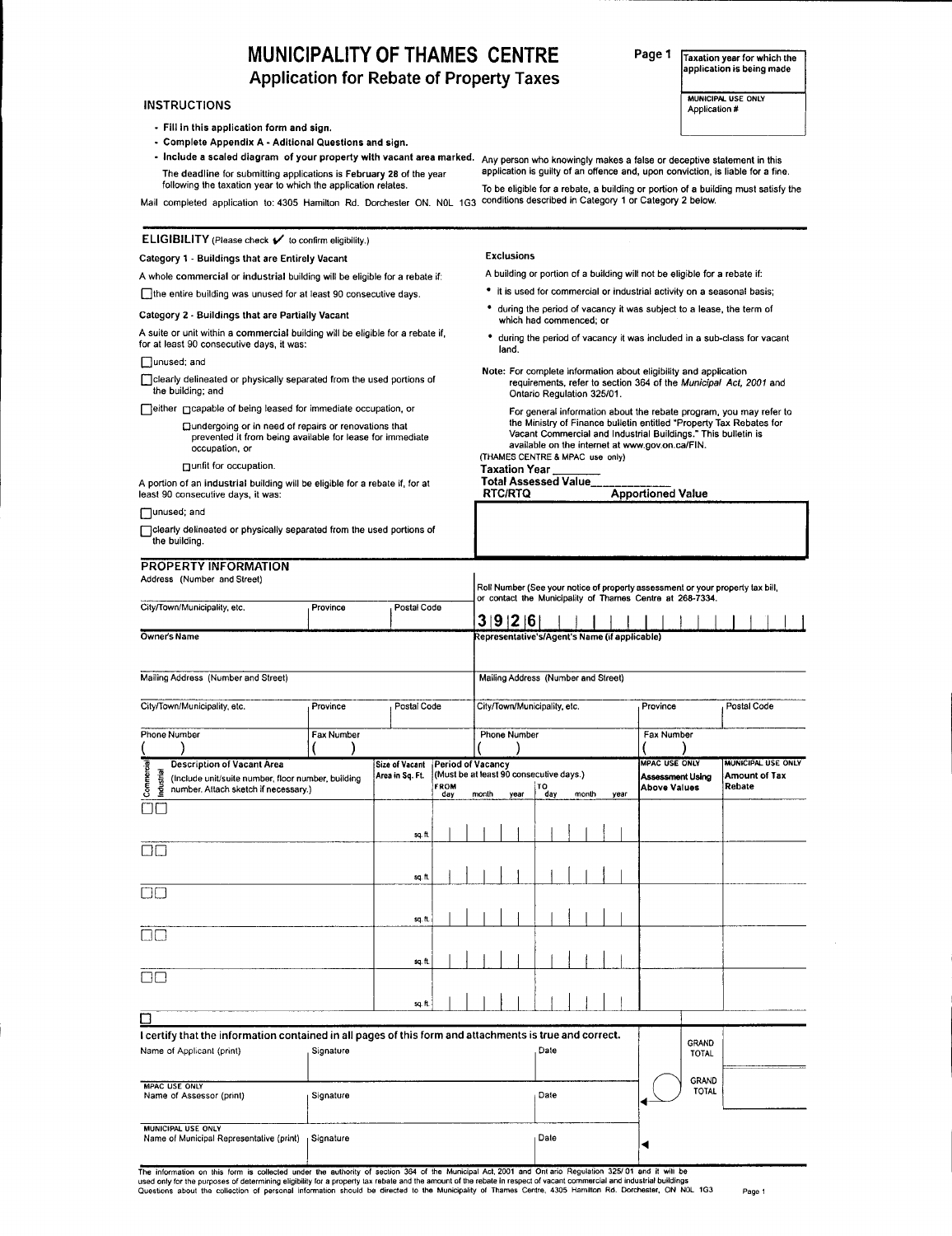# MUNICIPALITY OF THAMES CENTRE

Application for Rebate of Property Taxes

# **INSTRUCTIONS**

- Fill In this application form and sign
- Complete Appendix A Aditional Questions and sign.
- Include a scaled diagram of your property with vacant area marked. Any person who knowingly makes a false or deceptive statement in this The deadline for submitting applications is February 28 of the year following the taxation year to which Ihe application relates
- 

To be eligible for a rebate, a building or portion of a building must satisfy the Mail completed application to: 4305 Hamilton Rd. Dorchester ON. NOL 1G3 conditions described in Category 1 or Category 2 below. application is guilty of an offence and, upon conviction, is liable for a fine.

> A building or portion of a building will not be eligible for a rebate if: • it is used for commercial or industrial activity on a seasonal basis; \* during the period of vacancy it was subject to a lease, the term of

Note: For complete information about eligibility and application

available on the internet at www.gov.on.ca/FIN.

RTC/RTQ Apportioned Value

 $*$  during the period of vacancy it was included in a sub-class for vacant

requirements, refer to section 364 of the Municipal Act, 2001 and

For general information about the rebate program, you may refer to the Ministry of Finance bulletin entitled "Property Tax Rebates for<br>Vacant Commercial and Industrial Buildings." This bulletin is

# $ELIGIBILITY$  (Please check  $\nu$  to confirm eligibility.)

### Category 1 - Buildings that are Entirely Vacant

A whole commercial or industrial building will be eligible for a rebate if: Othe entire building was unused for at least 90 consecutive days.

### Category 2 - Buildings that are Partially Vacant

A suite or unit within a commercial building will be eligible for a rebate if for at least 90 consecutive days, it was:

#### $\Box$ unused; and

Clearly delineated or physically separated from the used portions of the building; and

□ either ncapable of being leased for immediate occupation, or

#### Dundergoing or in need of repairs or renovations that prevenled it from being available for lease for immediate occupation, or

□ unfit for occupation.

A portion of an industrial building will be eligible for a rebate if, for at least 90 consecutive days, it was:

 $\Box$ unused; and

Oclearly delineated orphysically separated from the used portions of the building.

## PROPERTY INFORMATION

Mailing Address (Number and Street)

Address (Number and Street) Roll Number (See your notice of property assessment or your property tax bill<br>or contact the Municipality of Thames Centre at 268-7334. City/Town/Municipality, etc. Province Postal Code 3 | 9 | 2 | 6 | Owner's Name Representative s/Agent's Name (if applicable)

Exclusions

land

Taxation Year Total Assessed Value

which had commenced; or

Ontario Regulation 325/01.

(THAMES CENTRE & MPAC use only)

# Mailing Address (Number and Street)

| City/Town/Municipality, etc.<br>Postal Code<br>Province                                                                                                     |            |                                          |                                  |  |       |  | City/Town/Municipality, etc.                    |  |           |  |  |       |  |      | Province                              |  |                              | Postal Code                                          |
|-------------------------------------------------------------------------------------------------------------------------------------------------------------|------------|------------------------------------------|----------------------------------|--|-------|--|-------------------------------------------------|--|-----------|--|--|-------|--|------|---------------------------------------|--|------------------------------|------------------------------------------------------|
| <b>Phone Number</b>                                                                                                                                         | Fax Number |                                          |                                  |  |       |  | <b>Phone Number</b>                             |  |           |  |  |       |  |      | Fax Number                            |  |                              |                                                      |
| Commercial<br><b>Description of Vacant Area</b><br>Industrial<br>(Include unit/suite number, floor number, building<br>number. Attach sketch if necessary.) |            | <b>Size of Vacant</b><br>Area in Sq. Ft. | Period of Vacancy<br>FROM<br>day |  | month |  | (Must be at least 90 consecutive days.)<br>year |  | TO<br>day |  |  | month |  | year | <b>IMPAC USE ONLY</b><br>Above Values |  | <b>Assessment Using</b>      | MUNICIPAL USE ONLY<br><b>Amount of Tax</b><br>Rebate |
| OC                                                                                                                                                          |            | sq.ft                                    |                                  |  |       |  |                                                 |  |           |  |  |       |  |      |                                       |  |                              |                                                      |
| $\Box$                                                                                                                                                      |            |                                          |                                  |  |       |  |                                                 |  |           |  |  |       |  |      |                                       |  |                              |                                                      |
| OO                                                                                                                                                          |            | sq. ft                                   |                                  |  |       |  |                                                 |  |           |  |  |       |  |      |                                       |  |                              |                                                      |
| $\Box$                                                                                                                                                      |            | sq.ft.                                   |                                  |  |       |  |                                                 |  |           |  |  |       |  |      |                                       |  |                              |                                                      |
| $\Box$                                                                                                                                                      |            | sq.ft.                                   |                                  |  |       |  |                                                 |  |           |  |  |       |  |      |                                       |  |                              |                                                      |
| ◻                                                                                                                                                           |            | sq.ft                                    |                                  |  |       |  |                                                 |  |           |  |  |       |  |      |                                       |  |                              |                                                      |
| I certify that the information contained in all pages of this form and attachments is true and correct.                                                     |            |                                          |                                  |  |       |  |                                                 |  |           |  |  |       |  |      |                                       |  |                              |                                                      |
| Name of Applicant (print)                                                                                                                                   | Signature  |                                          |                                  |  |       |  |                                                 |  | Date      |  |  |       |  |      |                                       |  | GRAND<br><b>TOTAL</b>        |                                                      |
| <b>MPAC USE ONLY</b><br>Name of Assessor (print)                                                                                                            | Signature  |                                          |                                  |  |       |  |                                                 |  | Date      |  |  |       |  |      |                                       |  | <b>GRAND</b><br><b>TOTAL</b> |                                                      |
| MUNICIPAL USE ONLY<br>Name of Municipal Representative (print)                                                                                              | Signature  |                                          |                                  |  |       |  |                                                 |  | Date      |  |  |       |  |      |                                       |  |                              |                                                      |

The information on this form is collected under the authority of section 364 of the Municipal Act, 2001 and Ont ario Regulation 325/01 and it will be used only for the purposes of determining eligibility for a property tax rebate and the amount of the rebate in respect of vacant commercial and industrial buildings Questions about the collection of personal information should be directed to the Municipality of Thames Centre, 4305 Hamilton Rd. Dorchester, ON NOL 1G3 Page

### Page 1 Taxation year for which the application is being made

MUNICIPAl USE ONLY Application #